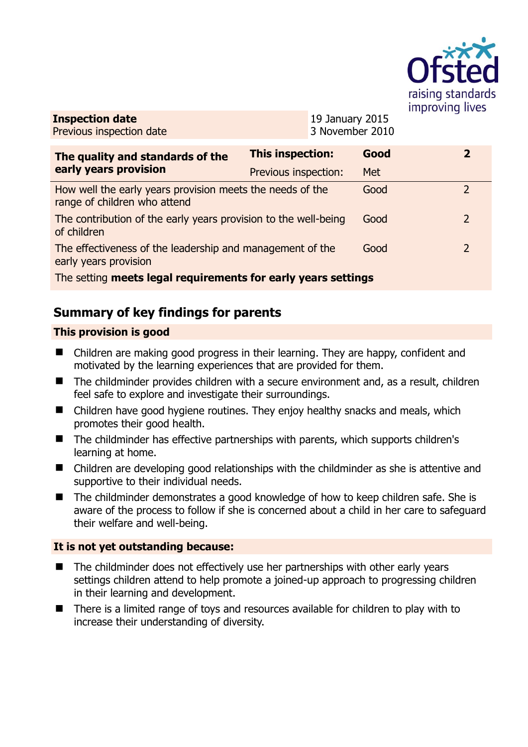

**Inspection date** Previous inspection date

19 January 2015 3 November 2010

| The quality and standards of the<br>early years provision                                 | <b>This inspection:</b> | Good       | 2              |
|-------------------------------------------------------------------------------------------|-------------------------|------------|----------------|
|                                                                                           | Previous inspection:    | <b>Met</b> |                |
| How well the early years provision meets the needs of the<br>range of children who attend |                         | Good       |                |
| The contribution of the early years provision to the well-being<br>of children            |                         | Good       | $\overline{2}$ |
| The effectiveness of the leadership and management of the<br>early years provision        |                         | Good       | $\overline{2}$ |
| The setting meets legal requirements for early years settings                             |                         |            |                |

# **Summary of key findings for parents**

### **This provision is good**

- Children are making good progress in their learning. They are happy, confident and motivated by the learning experiences that are provided for them.
- The childminder provides children with a secure environment and, as a result, children feel safe to explore and investigate their surroundings.
- Children have good hygiene routines. They enjoy healthy snacks and meals, which promotes their good health.
- The childminder has effective partnerships with parents, which supports children's learning at home.
- Children are developing good relationships with the childminder as she is attentive and supportive to their individual needs.
- The childminder demonstrates a good knowledge of how to keep children safe. She is aware of the process to follow if she is concerned about a child in her care to safeguard their welfare and well-being.

### **It is not yet outstanding because:**

- The childminder does not effectively use her partnerships with other early years settings children attend to help promote a joined-up approach to progressing children in their learning and development.
- There is a limited range of toys and resources available for children to play with to increase their understanding of diversity.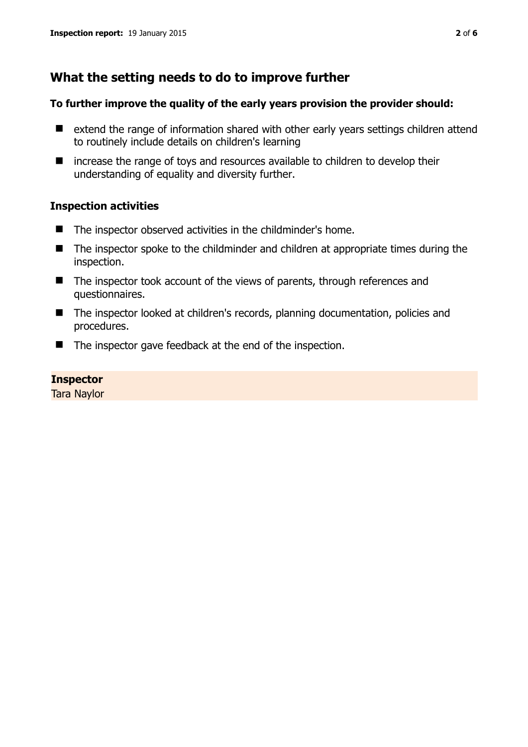## **What the setting needs to do to improve further**

#### **To further improve the quality of the early years provision the provider should:**

- extend the range of information shared with other early years settings children attend to routinely include details on children's learning
- $\blacksquare$  increase the range of toys and resources available to children to develop their understanding of equality and diversity further.

#### **Inspection activities**

- The inspector observed activities in the childminder's home.
- The inspector spoke to the childminder and children at appropriate times during the inspection.
- The inspector took account of the views of parents, through references and questionnaires.
- The inspector looked at children's records, planning documentation, policies and procedures.
- The inspector gave feedback at the end of the inspection.

#### **Inspector**

Tara Naylor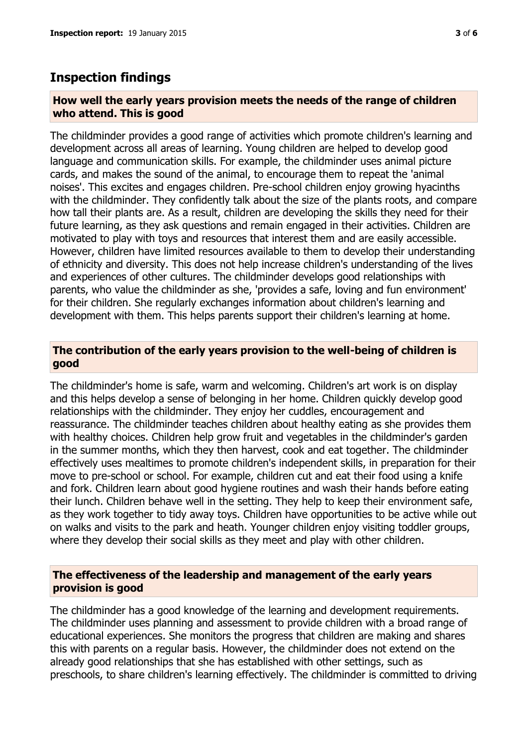## **Inspection findings**

#### **How well the early years provision meets the needs of the range of children who attend. This is good**

The childminder provides a good range of activities which promote children's learning and development across all areas of learning. Young children are helped to develop good language and communication skills. For example, the childminder uses animal picture cards, and makes the sound of the animal, to encourage them to repeat the 'animal noises'. This excites and engages children. Pre-school children enjoy growing hyacinths with the childminder. They confidently talk about the size of the plants roots, and compare how tall their plants are. As a result, children are developing the skills they need for their future learning, as they ask questions and remain engaged in their activities. Children are motivated to play with toys and resources that interest them and are easily accessible. However, children have limited resources available to them to develop their understanding of ethnicity and diversity. This does not help increase children's understanding of the lives and experiences of other cultures. The childminder develops good relationships with parents, who value the childminder as she, 'provides a safe, loving and fun environment' for their children. She regularly exchanges information about children's learning and development with them. This helps parents support their children's learning at home.

#### **The contribution of the early years provision to the well-being of children is good**

The childminder's home is safe, warm and welcoming. Children's art work is on display and this helps develop a sense of belonging in her home. Children quickly develop good relationships with the childminder. They enjoy her cuddles, encouragement and reassurance. The childminder teaches children about healthy eating as she provides them with healthy choices. Children help grow fruit and vegetables in the childminder's garden in the summer months, which they then harvest, cook and eat together. The childminder effectively uses mealtimes to promote children's independent skills, in preparation for their move to pre-school or school. For example, children cut and eat their food using a knife and fork. Children learn about good hygiene routines and wash their hands before eating their lunch. Children behave well in the setting. They help to keep their environment safe, as they work together to tidy away toys. Children have opportunities to be active while out on walks and visits to the park and heath. Younger children enjoy visiting toddler groups, where they develop their social skills as they meet and play with other children.

#### **The effectiveness of the leadership and management of the early years provision is good**

The childminder has a good knowledge of the learning and development requirements. The childminder uses planning and assessment to provide children with a broad range of educational experiences. She monitors the progress that children are making and shares this with parents on a regular basis. However, the childminder does not extend on the already good relationships that she has established with other settings, such as preschools, to share children's learning effectively. The childminder is committed to driving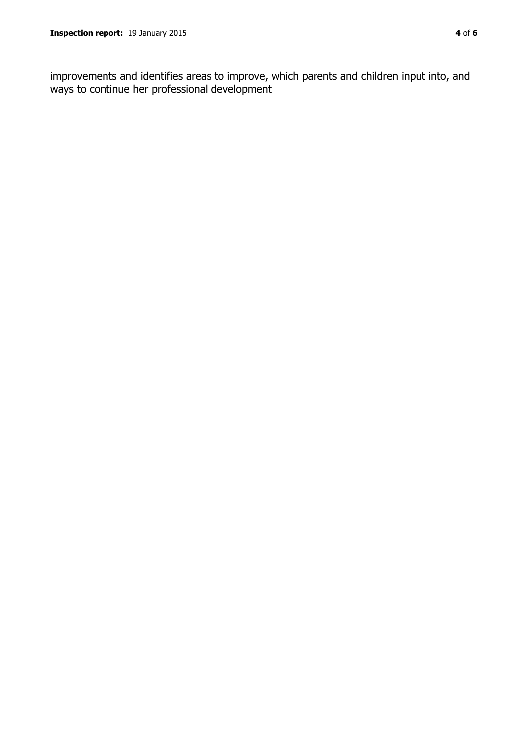improvements and identifies areas to improve, which parents and children input into, and ways to continue her professional development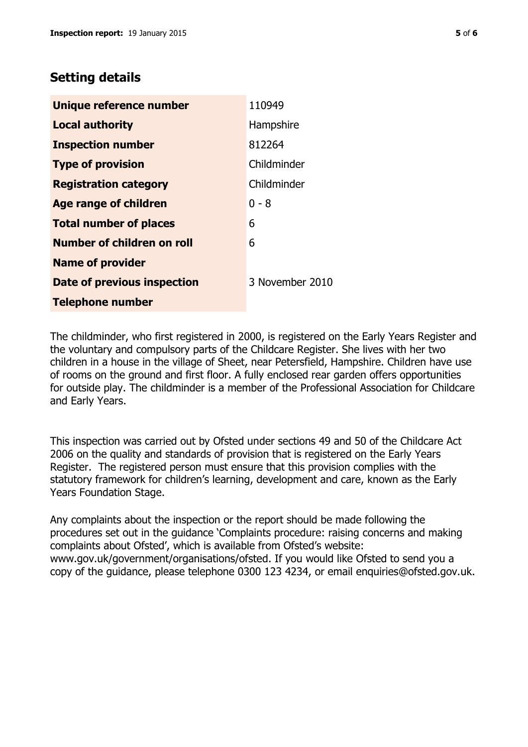## **Setting details**

| Unique reference number       | 110949          |
|-------------------------------|-----------------|
| <b>Local authority</b>        | Hampshire       |
| <b>Inspection number</b>      | 812264          |
| <b>Type of provision</b>      | Childminder     |
| <b>Registration category</b>  | Childminder     |
| <b>Age range of children</b>  | $0 - 8$         |
| <b>Total number of places</b> | 6               |
| Number of children on roll    | 6               |
| <b>Name of provider</b>       |                 |
| Date of previous inspection   | 3 November 2010 |
| <b>Telephone number</b>       |                 |

The childminder, who first registered in 2000, is registered on the Early Years Register and the voluntary and compulsory parts of the Childcare Register. She lives with her two children in a house in the village of Sheet, near Petersfield, Hampshire. Children have use of rooms on the ground and first floor. A fully enclosed rear garden offers opportunities for outside play. The childminder is a member of the Professional Association for Childcare and Early Years.

This inspection was carried out by Ofsted under sections 49 and 50 of the Childcare Act 2006 on the quality and standards of provision that is registered on the Early Years Register. The registered person must ensure that this provision complies with the statutory framework for children's learning, development and care, known as the Early Years Foundation Stage.

Any complaints about the inspection or the report should be made following the procedures set out in the guidance 'Complaints procedure: raising concerns and making complaints about Ofsted', which is available from Ofsted's website: www.gov.uk/government/organisations/ofsted. If you would like Ofsted to send you a copy of the guidance, please telephone 0300 123 4234, or email enquiries@ofsted.gov.uk.